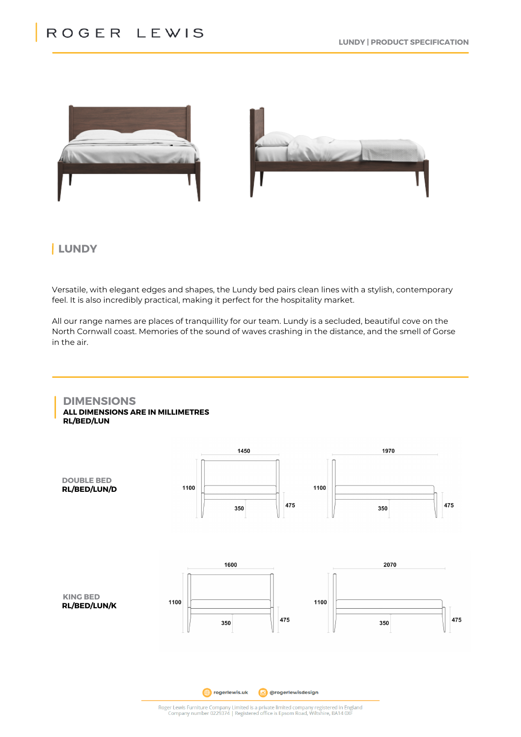

# **LUNDY**

Versatile, with elegant edges and shapes, the Lundy bed pairs clean lines with a stylish, contemporary feel. It is also incredibly practical, making it perfect for the hospitality market.

All our range names are places of tranquillity for our team. Lundy is a secluded, beautiful cove on the North Cornwall coast. Memories of the sound of waves crashing in the distance, and the smell of Gorse in the air.

# **DIMENSIONS ALL DIMENSIONS ARE IN MILLIMETRES**

**RL/BED/LUN**